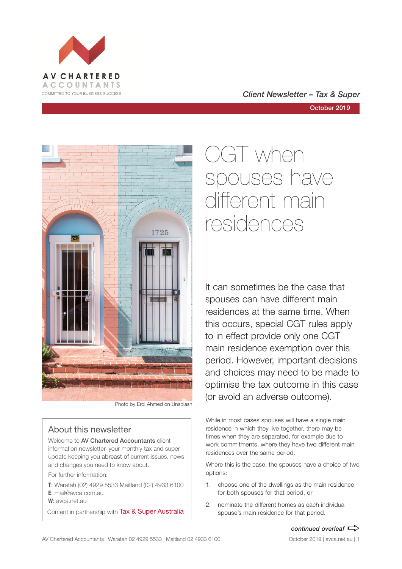



Photo by Erol Ahmed on Unsplash

### About this newsletter

Welcome to AV Chartered Accountants client information newsletter, your monthly tax and super update keeping you abreast of current issues, news and changes you need to know about.

For further information:

**T**: Waratah (02) 4929 5533 Maitland (02) 4933 6100 **E**: mail@avca.com.au

**W**: avca.net.au

Content in partnership with Tax & Super Australia

# CGT when spouses have different main residences

It can sometimes be the case that spouses can have different main residences at the same time. When this occurs, special CGT rules apply to in effect provide only one CGT main residence exemption over this period. However, important decisions and choices may need to be made to optimise the tax outcome in this case (or avoid an adverse outcome).

While in most cases spouses will have a single main residence in which they live together, there may be times when they are separated, for example due to work commitments, where they have two different main residences over the same period.

Where this is the case, the spouses have a choice of two options:

- 1. choose one of the dwellings as the main residence for both spouses for that period, or
- 2. nominate the different homes as each individual spouse's main residence for that period.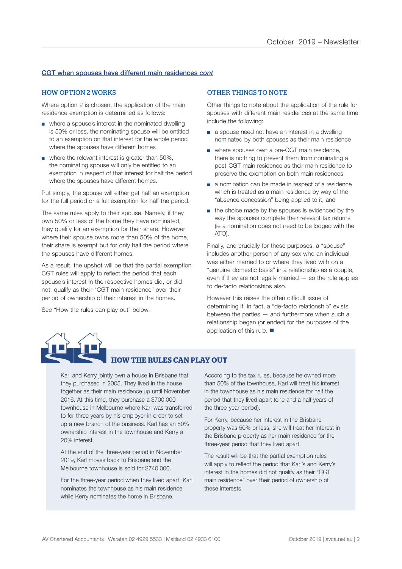### CGT when spouses have different main residences *cont*

#### HOW OPTION 2 WORKS

Where option 2 is chosen, the application of the main residence exemption is determined as follows:

- where a spouse's interest in the nominated dwelling is 50% or less, the nominating spouse will be entitled to an exemption on that interest for the whole period where the spouses have different homes
- where the relevant interest is greater than 50%. the nominating spouse will only be entitled to an exemption in respect of that interest for half the period where the spouses have different homes.

Put simply, the spouse will either get half an exemption for the full period or a full exemption for half the period.

The same rules apply to their spouse. Namely, if they own 50% or less of the home they have nominated, they qualify for an exemption for their share. However where their spouse owns more than 50% of the home, their share is exempt but for only half the period where the spouses have different homes.

As a result, the upshot will be that the partial exemption CGT rules will apply to reflect the period that each spouse's interest in the respective homes did, or did not, qualify as their "CGT main residence" over their period of ownership of their interest in the homes.

See "How the rules can play out" below.

### OTHER THINGS TO NOTE

Other things to note about the application of the rule for spouses with different main residences at the same time include the following:

- a spouse need not have an interest in a dwelling nominated by both spouses as their main residence
- where spouses own a pre-CGT main residence, there is nothing to prevent them from nominating a post-CGT main residence as their main residence to preserve the exemption on both main residences
- a nomination can be made in respect of a residence which is treated as a main residence by way of the "absence concession" being applied to it, and
- the choice made by the spouses is evidenced by the way the spouses complete their relevant tax returns (ie a nomination does not need to be lodged with the ATO).

Finally, and crucially for these purposes, a "spouse" includes another person of any sex who an individual was either married to or where they lived with on a "genuine domestic basis" in a relationship as a couple, even if they are not legally married — so the rule applies to de-facto relationships also.

However this raises the often difficult issue of determining if, in fact, a "de-facto relationship" exists between the parties — and furthermore when such a relationship began (or ended) for the purposes of the application of this rule.  $\blacksquare$ 



### **HOW THE RULES CAN PLAY OUT**

Karl and Kerry jointly own a house in Brisbane that they purchased in 2005. They lived in the house together as their main residence up until November 2016. At this time, they purchase a \$700,000 townhouse in Melbourne where Karl was transferred to for three years by his employer in order to set up a new branch of the business. Karl has an 80% ownership interest in the townhouse and Kerry a 20% interest.

At the end of the three-year period in November 2019, Karl moves back to Brisbane and the Melbourne townhouse is sold for \$740,000.

For the three-year period when they lived apart, Karl nominates the townhouse as his main residence while Kerry nominates the home in Brisbane.

According to the tax rules, because he owned more than 50% of the townhouse, Karl will treat his interest in the townhouse as his main residence for half the period that they lived apart (one and a half years of the three-year period).

For Kerry, because her interest in the Brisbane property was 50% or less, she will treat her interest in the Brisbane property as her main residence for the three-year period that they lived apart.

The result will be that the partial exemption rules will apply to reflect the period that Karl's and Kerry's interest in the homes did not qualify as their "CGT main residence" over their period of ownership of these interests.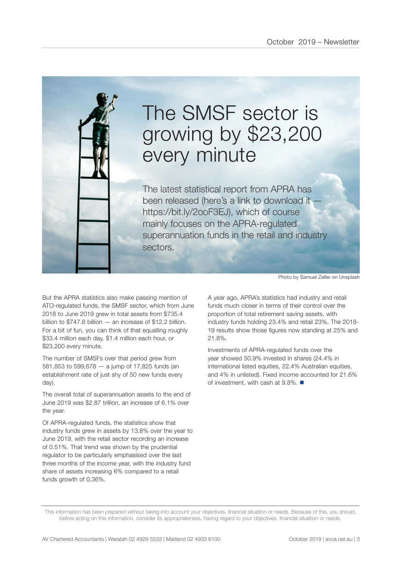

# The SMSF sector is growing by \$23,200 every minute

The latest statistical report from APRA has been released (here's a link to download it https://bit.ly/2ooF3EJ), which of course mainly focuses on the APRA-regulated superannuation funds in the retail and industry sectors.

But the APRA statistics also make passing mention of ATO-regulated funds, the SMSF sector, which from June 2018 to June 2019 grew in total assets from \$735.4 billion to \$747.6 billion — an increase of \$12.2 billion. For a bit of fun, you can think of that equalling roughly \$33.4 million each day, \$1.4 million each hour, or \$23,200 every minute.

The number of SMSFs over that period grew from 581,853 to 599,678 — a jump of 17,825 funds (an establishment rate of just shy of 50 new funds every day).

The overall total of superannuation assets to the end of June 2019 was \$2.87 trillion, an increase of 6.1% over the year.

Of APRA-regulated funds, the statistics show that industry funds grew in assets by 13.8% over the year to June 2019, with the retail sector recording an increase of 0.51%. That trend was shown by the prudential regulator to be particularly emphasised over the last three months of the income year, with the industry fund share of assets increasing 6% compared to a retail funds growth of 0.36%.

Photo by Samuel Zeller on Unsplash

A year ago, APRA's statistics had industry and retail funds much closer in terms of their control over the proportion of total retirement saving assets, with industry funds holding 23.4% and retail 23%. The 2018- 19 results show those figures now standing at 25% and 21.8%.

Investments of APRA-regulated funds over the year showed 50.9% invested in shares (24.4% in international listed equities, 22.4% Australian equities, and 4% in unlisted). Fixed income accounted for 21.6% of investment, with cash at  $9.8\%$ .

This information has been prepared without taking into account your objectives, financial situation or needs. Because of this, you should, before acting on this information, consider its appropriateness, having regard to your objectives, financial situation or needs.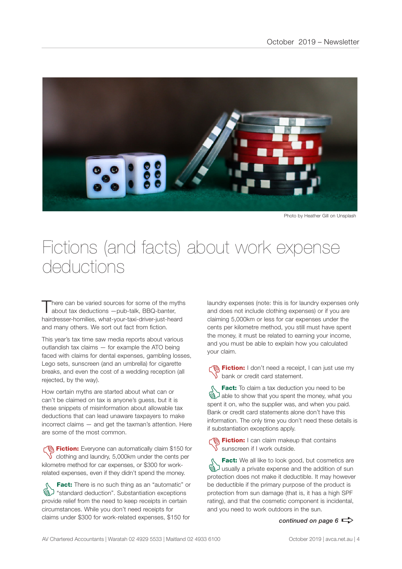

Photo by Heather Gill on Unsplash

### Fictions (and facts) about work expense deductions

here can be varied sources for some of the myths about tax deductions —pub-talk, BBQ-banter, hairdresser-homilies, what-your-taxi-driver-just-heard and many others. We sort out fact from fiction.

This year's tax time saw media reports about various outlandish tax claims — for example the ATO being faced with claims for dental expenses, gambling losses, Lego sets, sunscreen (and an umbrella) for cigarette breaks, and even the cost of a wedding reception (all rejected, by the way).

How certain myths are started about what can or can't be claimed on tax is anyone's guess, but it is these snippets of misinformation about allowable tax deductions that can lead unaware taxpayers to make incorrect claims — and get the taxman's attention. Here are some of the most common.

**Fiction:** Everyone can automatically claim \$150 for  $\sqrt{\ }$  clothing and laundry, 5,000km under the cents per kilometre method for car expenses, or \$300 for workrelated expenses, even if they didn't spend the money.

**Fact:** There is no such thing as an "automatic" or<br>  $\bigotimes$  "standard deduction". Substantiation exceptions<br>
provide relief from the need to keep receipts in certain "standard deduction". Substantiation exceptions provide relief from the need to keep receipts in certain circumstances. While you don't need receipts for claims under \$300 for work-related expenses, \$150 for

laundry expenses (note: this is for laundry expenses only and does not include clothing expenses) or if you are claiming 5,000km or less for car expenses under the cents per kilometre method, you still must have spent the money, it must be related to earning your income, and you must be able to explain how you calculated your claim.

**Contain:** I don't need a receipt, I can just use my bank or credit card statement.

**Fact:** To claim a tax deduction you need to be<br>able to show that you spent the money, what you spent it on who the supplier was and when you paid able to show that you spent the money, what you spent it on, who the supplier was, and when you paid. Bank or credit card statements alone don't have this information. The only time you don't need these details is if substantiation exceptions apply.

**名 Fiction:** I can claim makeup that contains sunscreen if I work outside.

**Fact:** We all like to look good, but cosmetics are<br> **ED** usually a private expense and the addition of sun<br>
protection does not make it deductible. It may however usually a private expense and the addition of sun protection does not make it deductible. It may however be deductible if the primary purpose of the product is protection from sun damage (that is, it has a high SPF rating), and that the cosmetic component is incidental, and you need to work outdoors in the sun.

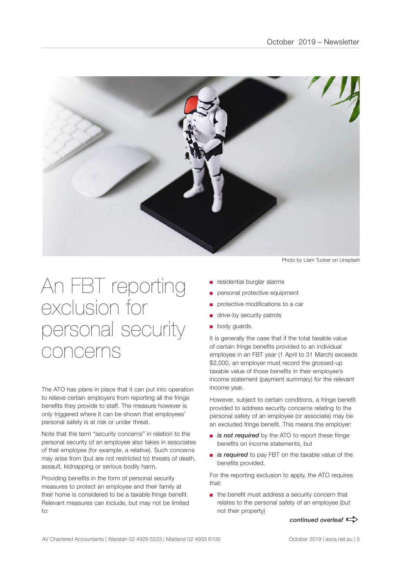

# An FBT reporting exclusion for personal security concerns

The ATO has plans in place that it can put into operation to relieve certain employers from reporting all the fringe benefits they provide to staff. The measure however is only triggered where it can be shown that employees' personal safety is at risk or under threat.

Note that the term "security concerns" in relation to the personal security of an employee also takes in associates of that employee (for example, a relative). Such concerns may arise from (but are not restricted to) threats of death, assault, kidnapping or serious bodily harm.

Providing benefits in the form of personal security measures to protect an employee and their family at their home is considered to be a taxable fringe benefit. Relevant measures can include, but may not be limited to:

Photo by Liam Tucker on Unsplash

- residential burglar alarms
- personal protective equipment
- protective modifications to a car
- drive-by security patrols
- body guards.

It is generally the case that if the total taxable value of certain fringe benefits provided to an individual employee in an FBT year (1 April to 31 March) exceeds \$2,000, an employer must record the grossed-up taxable value of those benefits in their employee's income statement (payment summary) for the relevant income year.

However, subject to certain conditions, a fringe benefit provided to address security concerns relating to the personal safety of an employee (or associate) may be an excluded fringe benefit. This means the employer:

- *is not required* by the ATO to report these fringe benefits on income statements, but
- *is required* to pay FBT on the taxable value of the benefits provided.

For the reporting exclusion to apply, the ATO requires that:

■ the benefit must address a security concern that relates to the personal safety of an employee (but not their property)

*continued overleaf*  $\Rightarrow$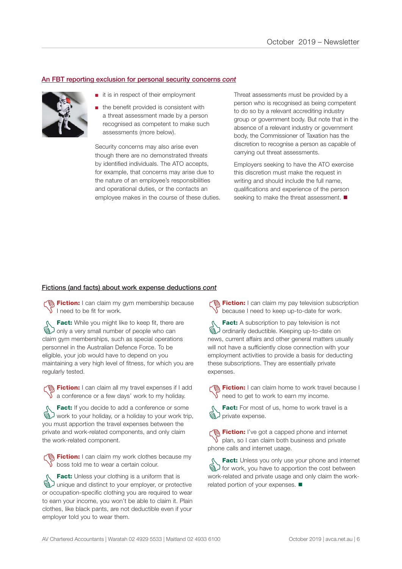### An FBT reporting exclusion for personal security concerns *cont*



- it is in respect of their employment
- the benefit provided is consistent with a threat assessment made by a person recognised as competent to make such assessments (more below).

Security concerns may also arise even though there are no demonstrated threats by identified individuals. The ATO accepts, for example, that concerns may arise due to the nature of an employee's responsibilities and operational duties, or the contacts an employee makes in the course of these duties. Threat assessments must be provided by a person who is recognised as being competent to do so by a relevant accrediting industry group or government body. But note that in the absence of a relevant industry or government body, the Commissioner of Taxation has the discretion to recognise a person as capable of carrying out threat assessments.

Employers seeking to have the ATO exercise this discretion must make the request in writing and should include the full name, qualifications and experience of the person seeking to make the threat assessment.  $\blacksquare$ 

### Fictions (and facts) about work expense deductions *cont*

**The Fiction:** I can claim my gym membership because I need to be fit for work.

**Fact:** While you might like to keep fit, there are<br>
and only a very small number of people who can<br>
claim own memberships such as special operations only a very small number of people who can claim gym memberships, such as special operations personnel in the Australian Defence Force. To be eligible, your job would have to depend on you maintaining a very high level of fitness, for which you are regularly tested.

**Fiction:** I can claim all my travel expenses if I add  $\sqrt{\ }$  a conference or a few days' work to my holiday.

**Fact:** If you decide to add a conference or some<br>  $\bigotimes$  work to your holiday, or a holiday to your work trip<br>
you must apportion the travel expenses between the work to your holiday, or a holiday to your work trip, you must apportion the travel expenses between the private and work-related components, and only claim the work-related component.

Fiction: I can claim my work clothes because my  $\sqrt{\ }$  boss told me to wear a certain colour.

**Fact:** Unless your clothing is a uniform that is<br>
a unique and distinct to your employer, or protection<br>
or occupation-specific clothing you are required to your unique and distinct to your employer, or protective or occupation-specific clothing you are required to wear to earn your income, you won't be able to claim it. Plain clothes, like black pants, are not deductible even if your employer told you to wear them.

**Fiction:** I can claim my pay television subscription because I need to keep up-to-date for work.

**Fact:** A subscription to pay television is not<br> **G** ordinarily deductible. Keeping up-to-date on<br>
news current affairs and other general matters us ordinarily deductible. Keeping up-to-date on news, current affairs and other general matters usually will not have a sufficiently close connection with your employment activities to provide a basis for deducting these subscriptions. They are essentially private expenses.

Fiction: I can claim home to work travel because I  $\sqrt{\ }$  need to get to work to earn my income.

Fact: For most of us, home to work travel is a brivate expense.

**Fiction:** I've got a capped phone and internet plan, so I can claim both business and private phone calls and internet usage.

**Fact:** Unless you only use your phone and internet<br>  $\bigotimes$  for work, you have to apportion the cost between<br>
Work-related and private usage and only claim the workfor work, you have to apportion the cost between work-related and private usage and only claim the workrelated portion of your expenses.  $\blacksquare$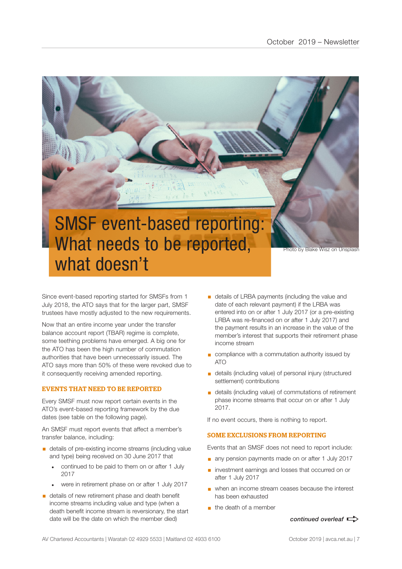

Since event-based reporting started for SMSFs from 1 July 2018, the ATO says that for the larger part, SMSF trustees have mostly adjusted to the new requirements.

Now that an entire income year under the transfer balance account report (TBAR) regime is complete, some teething problems have emerged. A big one for the ATO has been the high number of commutation authorities that have been unnecessarily issued. The ATO says more than 50% of these were revoked due to it consequently receiving amended reporting.

### EVENTS THAT NEED TO BE REPORTED

Every SMSF must now report certain events in the ATO's event-based reporting framework by the due dates (see table on the following page).

An SMSF must report events that affect a member's transfer balance, including:

- details of pre-existing income streams (including value and type) being received on 30 June 2017 that
	- continued to be paid to them on or after 1 July 2017
	- were in retirement phase on or after 1 July 2017
- details of new retirement phase and death benefit income streams including value and type (when a death benefit income stream is reversionary, the start date will be the date on which the member died)
- **•** details of LRBA payments (including the value and date of each relevant payment) if the LRBA was entered into on or after 1 July 2017 (or a pre-existing LRBA was re-financed on or after 1 July 2017) and the payment results in an increase in the value of the member's interest that supports their retirement phase income stream
- compliance with a commutation authority issued by ATO
- details (including value) of personal injury (structured settlement) contributions
- details (including value) of commutations of retirement phase income streams that occur on or after 1 July 2017.

If no event occurs, there is nothing to report.

### SOME EXCLUSIONS FROM REPORTING

Events that an SMSF does not need to report include:

- any pension payments made on or after 1 July 2017
- investment earnings and losses that occurred on or after 1 July 2017
- when an income stream ceases because the interest has been exhausted
- $\blacksquare$  the death of a member

*continued overleaf*  $\Rightarrow$